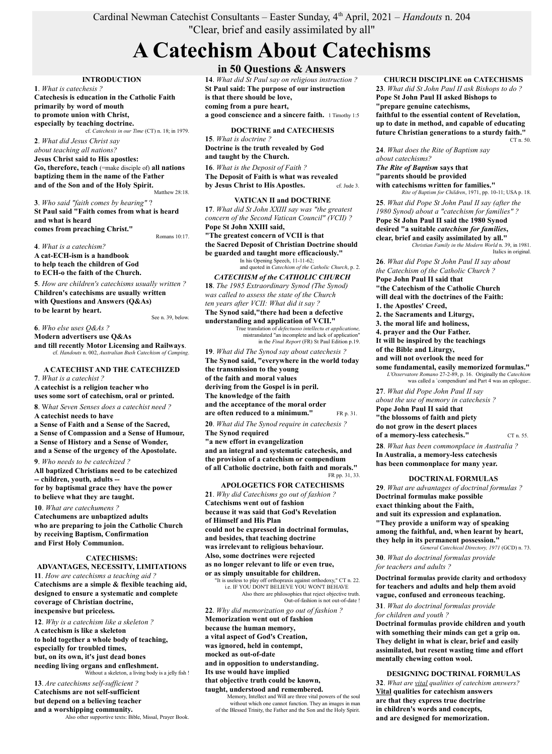# Cardinal Newman Catechist Consultants – Easter Sunday, 4th April, 2021 – *Handouts* n. 204 "Clear, brief and easily assimilated by all"

# **A Catechism About Catechisms**

**INTRODUCTION**

**1**. *What is catechesis ?* **Catechesis is education in the Catholic Faith primarily by word of mouth to promote union with Christ, especially by teaching doctrine.** cf. *Catechesis in our Time* (CT) n. 18; in 1979.

**2**. *What did Jesus Christ say about teaching all nations?* **Jesus Christ said to His apostles: Go, therefore, teach** (=make disciple of) **all nations baptizing them in the name of the Father and of the Son and of the Holy Spirit.** Matthew 28:18

**3**. *Who said "faith comes by hearing"* ? **St Paul said "Faith comes from what is heard and what is heard comes from preaching Christ."**

Romans 10:17.

**4**. *What is a catechism?*

**A cat-ECH-ism is a handbook to help teach the children of God to ECH-o the faith of the Church.**

**5**. *How are children's catechisms usually written ?* **Children's catechisms are usually written with Questions and Answers (Q&As) to be learnt by heart.** See n. 39, below.

**6**. *Who else uses Q&As ?*

**Modern advertisers use Q&As**

**and till recently Motor Licensing and Railways**. cf. *Handouts* n. 002, *Australian Bush Catechism of Camping*.

## **A CATECHIST AND THE CATECHIZED**

**7**. *What is a catechist ?*

**A catechist is a religion teacher who uses some sort of catechism, oral or printed.**

**8**. W*hat Seven Senses does a catechist need ?* **A catechist needs to have**

**a Sense of Faith and a Sense of the Sacred, a Sense of Compassion and a Sense of Humour, a Sense of History and a Sense of Wonder, and a Sense of the urgency of the Apostolate.**

**9**. *Who needs to be catechized ?* **All baptized Christians need to be catechized**

**-- children, youth, adults - for by baptismal grace they have the power to believe what they are taught.**

**10**. *What are catechumens ?*

**Catechumens are unbaptized adults who are preparing to join the Catholic Church by receiving Baptism, Confirmation and First Holy Communion.**

### **CATECHISMS:**

**ADVANTAGES, NECESSITY, LIMITATIONS 11**. *How are catechisms a teaching aid ?* **Catechisms are a simple & flexible teaching aid, designed to ensure a systematic and complete coverage of Christian doctrine, inexpensive but priceless.**

**12**. *Why is a catechism like a skeleton ?* **A catechism is like a skeleton to hold together a whole body of teaching, especially for troubled times, but, on its own, it's just dead bones needing living organs and enfleshment.** Without a skeleton, a living body is a jelly fish !

# **13**. *Are catechisms self-sufficient ?* **Catechisms are not self-sufficient but depend on a believing teacher and a worshipping community.**<br>Also other supportive texts: Bible, Missal, Prayer Book.

**in 50 Questions & Answers**

**14**. *What did St Paul say on religious instruction ?* **St Paul said: The purpose of our instruction is that there should be love, coming from a pure heart, a good conscience and a sincere faith.** 1 Timothy 1:5

**DOCTRINE and CATECHESIS**

**15**. *What is doctrine ?* **Doctrine is the truth revealed by God and taught by the Church.**

**16**. *What is the Deposit of Faith ?* **The Deposit of Faith is what was revealed by Jesus Christ to His Apostles.** cf. Jude 3.

#### **VATICAN II and DOCTRINE**

**17**. *What did St John XXIII say was "the greatest concern of the Second Vatican Council" (VCII) ?* **Pope St John XXIII said, "The greatest concern of VCII is that the Sacred Deposit of Christian Doctrine should be guarded and taught more efficaciously."** In his Opening Speech, 11-11-62;

and quoted in *Catechism of the Catholic Church*, p. 2. *CATECHISM of the CATHOLIC CHURCH*

**18**. *The 1985 Extraordinary Synod (The Synod) was called to assess the state of the Church ten years after VCII: What did it say ?* **The Synod said,"there had been a defective** 

**understanding and application of VCII."** True translation of *defectuoso intellectu et applicatione,* mistranslated "an incomplete and lack of application" in the *Final Report* (FR) St Paul Edition p.19.

**19**. *What did The Synod say about catechesis ?* **The Synod said, "everywhere in the world today the transmission to the young of the faith and moral values deriving from the Gospel is in peril. The knowledge of the faith and the acceptance of the moral order are often reduced to a minimum."** FR p. 31. **20**. *What did The Synod require in catechesis ?* **The Synod required "a new effort in evangelization and an integral and systematic catechesis, and the provision of a catechism or compendium of all Catholic doctrine, both faith and morals."**

**APOLOGETICS FOR CATECHISMS**

FR pp. 31, 33.

**21**. *Why did Catechisms go out of fashion ?* **Catechisms went out of fashion because it was said that God's Revelation of Himself and His Plan could not be expressed in doctrinal formulas, and besides, that teaching doctrine was irrelevant to religious behaviour. Also, some doctrines were rejected as no longer relevant to life or even true, or as simply unsuitable for children.**

"It is useless to play off orthopraxis against orthodoxy," CT n. 22. i.e. IF YOU DON'T BELIEVE YOU WON'T BEHAVE Also there are philosophies that reject objective truth. Out-of-fashion is not out-of-date !

**22**. *Why did memorization go out of fashion ?* **Memorization went out of fashion because the human memory,**

**a vital aspect of God's Creation, was ignored, held in contempt, mocked as out-of-date**

**and in opposition to understanding. Its use would have implied**

**that objective truth could be known,**

**taught, understood and remembered.** Memory, Intellect and Will are three vital powers of the soul

without which one cannot function. They an images in man of the Blessed Trinity, the Father and the Son and the Holy Spirit.

#### **CHURCH DISCIPLINE on CATECHISMS**

**23**. *What did St John Paul II ask Bishops to do ?* **Pope St John Paul II asked Bishops to "prepare genuine catechisms, faithful to the essential content of Revelation, up to date in method, and capable of educating future Christian generations to a sturdy faith."** CT n. 50.

**24**. *What does the Rite of Baptism say about catechisms?*

*The Rite of Baptism* **says that "parents should be provided with catechisms written for families."** *Rite of Baptism for Children*, 1971, pp. 10-11; USA p. 18.

**25**. *What did Pope St John Paul II say (after the 1980 Synod) about a "catechism for families" ?* **Pope St John Paul II said the 1980 Synod desired "a suitable** *catechism for families***, clear, brief and easily assimilated by all."**

*Christian Family in the Modern World* n. 39, in 1981. Italics in original.

**26**. *What did Pope St John Paul II say about the Catechism of the Catholic Church ?* **Pope John Paul II said that "the Catechism of the Catholic Church will deal with the doctrines of the Faith: 1. the Apostles' Creed, 2. the Sacraments and Liturgy, 3. the moral life and holiness, 4. prayer and the Our Father. It will be inspired by the teachings of the Bible and Liturgy, and will not overlook the need for some fundamental, easily memorized formulas."** *L'Osservatore Romano* 27-2-89, p. 16. Originally the *Catechism* was called a 'compendium' and Part 4 was an epilogue:. **27**. *What did Pope John Paul II say about the use of memory in catechesis ?* **Pope John Paul II said that "the blossoms of faith and piety do not grow in the desert places of a memory-less catechesis."** CT n. 55.

**28**. *What has been commonplace in Australia ?* **In Australia, a memory-less catechesis has been commonplace for many year.**

#### **DOCTRINAL FORMULAS**

**29**. *What are advantages of doctrinal formulas ?* **Doctrinal formulas make possible exact thinking about the Faith, and suit its expression and explanation. "They provide a uniform way of speaking among the faithful, and, when learnt by heart, they help in its permanent possession."** *General Catechical Directory, 1971* (GCD) n. 73.

**30**. *What do doctrinal formulas provide for teachers and adults ?*

**Doctrinal formulas provide clarity and orthodoxy for teachers and adults and help them avoid vague, confused and erroneous teaching.**

**31**. *What do doctrinal formulas provide for children and youth ?*

**Doctrinal formulas provide children and youth with something their minds can get a grip on. They delight in what is clear, brief and easily assimilated, but resent wasting time and effort mentally chewing cotton wool.**

#### **DESIGNING DOCTRINAL FORMULAS**

**32**. *What are vital qualities of catechism answers?* **Vital qualities for catechism answers are that they express true doctrine in children's words and concepts, and are designed for memorization.**